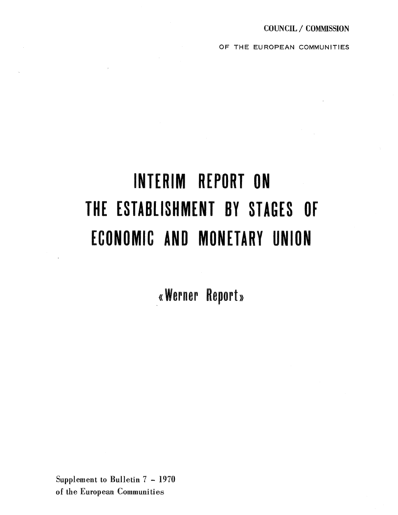OF THE EUROPEAN COMMUNITIES

# INTERIM REPORT ON THE ESTABLISHMENT BY STAGES OF ECONOMIC AND MONETARY UNION

«Werner Report»

Supplement to Bulletin 7 - 1970 of the European Communities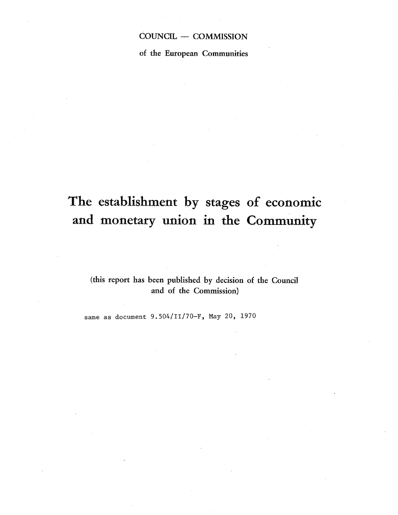# COUNCIL - COMMISSION

of the European Communities

# The establishment by stages of economic and monetary union in the Community

(this report has been published by decision of the Council and of the Commission)

same as document 9.504/II/70-F, May 20, 1970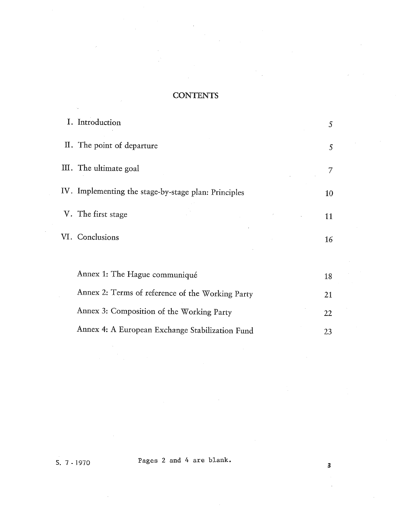# **CONTENTS**

| I. Introduction                                      | 5 <sup>1</sup>  |
|------------------------------------------------------|-----------------|
| II. The point of departure                           | $\mathcal{S}$   |
| III. The ultimate goal                               | 7               |
| IV. Implementing the stage-by-stage plan: Principles | 10              |
| V. The first stage                                   | 11              |
| VI. Conclusions                                      | 16 <sup>1</sup> |
|                                                      |                 |
| Annex 1: The Hague communiqué                        | 18              |
| Annex 2: Terms of reference of the Working Party     | 21              |
| Annex 3: Composition of the Working Party            | 22              |
| Annex 4: A European Exchange Stabilization Fund      | 23              |

S. 7 - 1970 Pages 2 and 4 are blank.

 $\overline{\mathbf{3}}$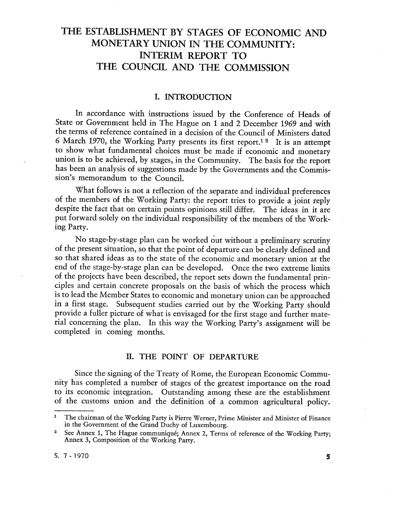# THE ESTABLISHMENT BY STAGES OF ECONOMIC AND MONETARY UNION IN THE COMMUNITY: INTERIM REPORT TO THE COUNCIL AND THE COMMISSION

#### 1. INTRODUCTION

In accordance with instructions issued by the Conference of Heads of State or Government held in The Hague on 1 and 2 December 1969 and with the terms of reference contained in a decision of the Council of Ministers dated 6 March 1970, the Working Party presents its first report.<sup>12</sup> It is an attempt to show what fundamental choices must be made if economic and monetary union is to be achieved, by stages, in the Community. The basis for the report has been an analysis of suggestions made by the Governments and the Commission's memorandum to the Council.

What follows is not a reflection of the separate and individual preferences of the members of the Working Party: the report tries to provide a joint reply despite the fact that on certain points opinions still differ. The put forward solely on the individual responsibility of the members of the Work-<br>ing Party.

No stage-by-stage plan can be worked out without a preliminary scrutiny of the present situation, so that the point of departure can be clearly defined and so that shared ideas as to the state of the economic and monetary union at the end of the stage-by-stage plan can be developed. Once the two extreme limits of the projects have been described, the report sets down the fundamental principles and certain concrete proposals on the basis of which the process which is to lead the Member States to economic and monetary union can be approached in a first stage. Subsequent studies carried out by the Working Party should provide a fuller picture of what is envisaged for the first stage and further material concerning the plan. In this way the Working Party's assignment will be completed in coming months.

#### II. THE POINT OF DEPARTURE

Since the signing of the Treaty of Rome, the European Economic Community has completed a number of stages of the greatest importance on the road to its economic integration. Outstanding among these are the establishment of the customs union and the definition of a common agricultural policy.

 $\mathbf{1}$ The chairman of the Working Party is Pierre Werner, Prime Minister and Minister of Finance in the Government of the Grand Duchy of Luxembourg.

 $\bf{2}$ See Annex 1, The Hague communiqué; Annex 2, Terms of reference of the Working Party; Annex 3, Composition of the Working Party.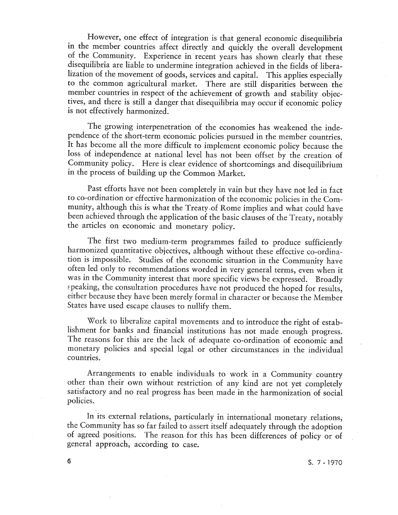However, one effect of integration is that general economic disequilibria<br>in the member countries affect directly and quickly the overall development of the Community. Experience in recent years has shown clearly that these disequilibria are liable to undermine integration achieved in the fields of liberalization of the movement of goods, services and capital. This applies especially member countries in respect of the achievement of growth and stability objectives, and there is still a danger that disequilibria may occur if economic policy is not effectively harmonized.

The growing interpenetration of the economies has weakened the independence of the short-term economic policies pursued in the member countries. It has become all the more difficult to implement economic policy because the loss of independence at national level has not been offset by the creation of Community policy. Here is clear evidence of shortcomings and disequilibrium in the process of building up the Common Market.

Past efforts have not been completely in vain but they have not led in fact to co-ordination or effective harmonization of the economic policies in the Community, although this is what the Treaty-of Rome implies and what could have been achieved through the application of the basic clauses of the Treaty, notably the articles on economic and monetary policy.

The first two medium-term programmes failed to produce sufficiently harmonized quantitative objectives, although without these effective co-ordina- tion is impossible. Studies of the economic situation in the Community have often led only to recommendations worded in very general terms, even when it was in the Community interest that more specific views be expressed. Broadly speaking, the consultation procedures have not produced the hoped for results, either because they have been merely formal in character or because the Member States have used escape clauses to nullify them.

Work to liberalize capital movements and to introduce the right of estab-<br>lishment for banks and financial institutions has not made enough progress. The reasons for this are the lack of adequate co-ordination of economic and monetary policies and special legal or other circumstances in the individual countries.

Arrangements to enable individuals to work in a Community country other than their own without restriction of any kind are not yet completely satisfactory and no real progress has been made in the harmonization of social policies.

In its external relations, particularly in international monetary relations, the Community has so far failed to assert itself adequately through the adoption of agreed positions. The reason for this has been differences of policy or of general approach, according to case.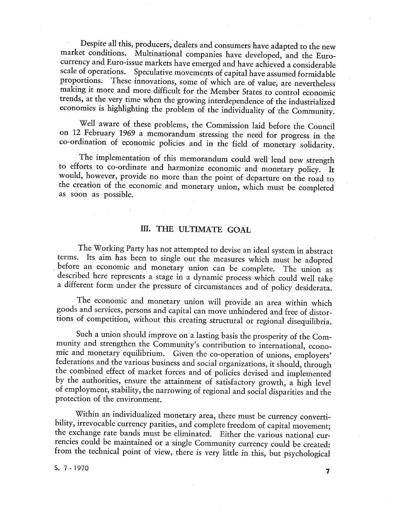Despite all this, producers dealers and consumers have adapted to the new market conditions. Multinational companies have developed, and the Euro currency and Euro-issue markets have emerged and have achieved a considerable scale of operations. Speculative movements of capital have assumed formidable proportions. These innovations, some of which are of value, are nevertheless making it more and more difficult for the Member States to control economic trends, at the very time when the growing interdependence of the industrialized economies is highlighting the problem of the individuality of the Community.

Well aware of these problems, the Commission laid before the Council on 12 February 1969 a memorandum stressing the need for progress in the co-ordination of economic policies and in the field of monetary solidarity.

The implementation of this memorandum could well lend new strength to efforts to co-ordinate and harmonize economic and monetary policy. It would, however, provide no more than the point of departure on the road to the creation of the economic and monetary union, which must be completed as soon as possible.

### III. THE ULTIMATE GOAL

The Working Party has not attempted to devise an ideal system in abstract terms. Its aim has been to single out the measures which must be adopted before an economic and monetary union can be complete. The union as describ a different form under the pressure of circumstances and of policy desiderata.

The economic and monetary union will provide an area within which goods and services, persons and capital can move unhindered and free of distortions of competition, without this creating structural or regional disequilibria.

Such a union should improve on a lasting basis the prosperity of the Community and strengthen the Community's contribution to international, economic and monetary equilibrium. Given the co-operation of unions, employers' federations and the various business and social organizations, it should, through the combined effect of market forces and of policies devised and by the authorities, ensure the attainment of satisfactory growth, a high level<br>of employment, stability, the narrowing of regional and social disparities and the protection of the environment.

Within an individualized monetary area, there must be currency convertibility, irrevocable currency parities, and complete freedom of capital movement; the exchange rate bands must be eliminated. Either the various national currencies could be maintained or a single Community currency could be created: from the technical point of view, there is very little in this, but psychological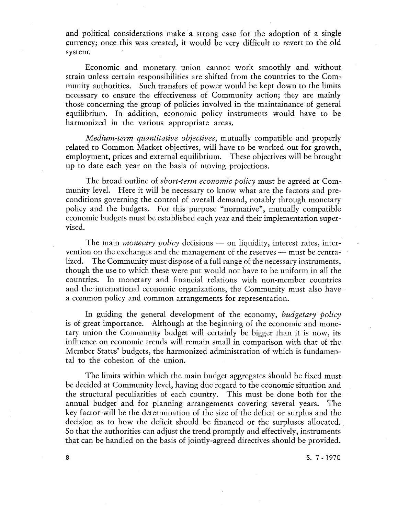and political considerations make a strong case for the adoption of a single currency; once this was created, it would be very difficult to revert to the old system.

Economic and monetary union cannot work smoothly and without strain unless certain responsibilities are shifted from the countries to the Community authorities. Such transfers of power would be kept down to the limits necessary to ensure the effectiveness of Community action; they are mainly those concerning the group of policies involved in the maintainance of general equilibrium. In addition, economic policy instruments would have to be harmonized in the various appropriate areas.

Medium-term quantitative objectives, mutually compatible and properly related to Common Market objectives, will have to be worked out for growth employment, prices and external equilibrium. These objectives will be brought up to date each year on the basis of moving projections.

The broad outline of *short-term economic policy* must be agreed at Community level. Here it will be necessary to know what are the factors and preconditions governing the control of overall demand, notably through monetary policy and the budgets. For this purpose "normative", mutually compatible economic budgets must be established each year and their implementation super vised.

The main *monetary policy* decisions  $-$  on liquidity, interest rates, intervention on the exchanges and the management of the reserves — must be centra-<br>lized. The Community must dispose of a full range of the necessary instruments, though the use to which these were put would not have to be uniform in all the countries. In monetary and financial relations with non-member countries and the'international economic organizations, the Community must also have a common policy and common arrangements for representation.

In guiding the general development of the economy, budgetary policy is of great importance. Although at the beginning of the economic and monetary union the Community budget will certainly be bigger than it is now, its influence on economic trends will remain small in comparison with that of the Member States' budgets, the harmonized administration of which is fundamental to the cohesion of the union.

The limits within which the main budget aggregates should be fixed must be decided at Community level, having due regard to the economic situation and the structural peculiarities of each country. This must be done both for the annual budget and for planning arrangements covering several years. The key factor will be the determination of the size of the deficit or surplus and the decision as to how the deficit should be financed or the surpluses allocated. So that the authorities can adjust the trend promptly and effectively, instruments that can be handled on the basis of jointly-agreed directives should be provided.

S. 7 - 1970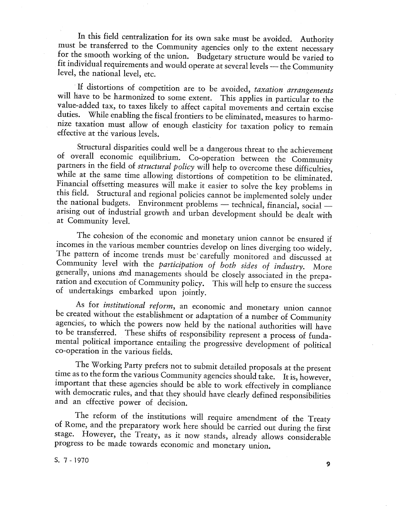In this field centralization for its own sake must be avoided. Authority must be transferred to the Community agencies only to the extent necessary for the smooth working of the union. Budgetary structure would be varied t fit individual requirements and would operate at several levels — the Community level, the national level, etc.

If distortions of competition are to be avoided, taxation arrangements will have to be harmonized to some extent. This applies in particular to the value-added tax, to taxes likely to affect capital movements and certain excise duties. While enabling the fiscal frontiers to be eliminated, measures to harmonize taxation must allow of enough elasticity for taxation policy to remain effective at the various levels.

Structural disparities could well be a dangerous threat to the achievement of overall economic equilibrium. Co-operation between the Community partners in the field of *structural policy* will help to overcome these diffic while at the same time allowing distortions of competition to be eliminated.<br>Financial offsetting measures will make it easier to solve the key problems in this field. Structural and regional policies cannot be implemented the national budgets. Environment problems — technical, financial, social — arising out of industrial growth and urban development should be dealt with at Community level.

The cohesion of the economic and monetary union cannot be ensured if incomes in the various member countries develop on lines diverging too widely. Community level with the *participation* of *both sides* of *industry*. More generally, unions and managements should be closely associated in the preparation and execution of Community policy. This will help to ensure the

As for *institutional reform*, an economic and monetary union cannot be created without the establishment or adaptation of a number of Community agencies, to which the powers now held by the national authorities will have to be transferred. These shifts of responsibility represent a process of fundamental political importance entailing the progressive development of political co-operation in the various fields.

The Working Party prefers not to submit detailed proposals at the present time as to the form the various Community agencies should take. It is, however, important that these agencies should be able to work effectively in compliance with democratic rules, and that they should have clearly defined responsibilities and an effective power of decision.

The reform of the institutions will require amendment of the Treaty of Rome, and the preparatory work here should be carried out during the first stage. However, the Treaty, as it now stands, already allows considerable progress to be made towards economic and monetary union.

S. 7 - 1970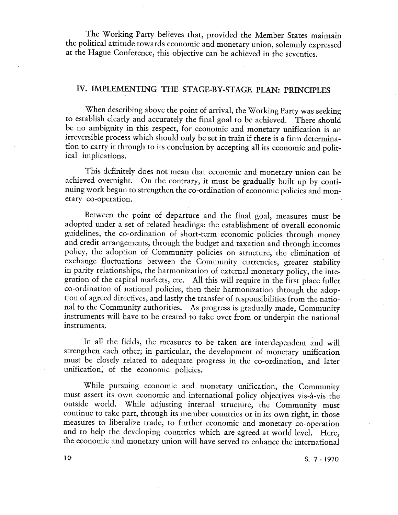The Working Party believes that, provided the Member States maintain the political attitude towards economic and monetary union, solemnly expressed at the Hague Conference, this objective can be achieved in the seventies.

# IV. IMPLEMENTING THE STAGE-BY-STAGE PLAN: PRINCIPLES

When describing above the point of arrival, the Working Party was seeking to establish clearly and accurately the final goal to be achieved. There should be no ambiguity in this respect, for economic and monetary unification is an irreversible process which should only be set in train if there is a firm determination to carry it through to its conclusion by accepting all its economic and political implications.

This definitely does not mean that economic and monetary union can be achieved overnight. On the contrary, it must be gradually built up by continuing work begun to strengthen the co-ordination of economic policies and mon-<br>etary co-operation.

Between the point of departure and the final goal, measures must be adopted under a set of related headings: the establishment of overall economic guidelines, the co-ordination of short-term economic policies through money and credit arrangements, through the budget and taxation and through incomes policy, the adoption of Community policies on structure, the elimination of exchange fluctuations between the Community currencies, greater stability in parity relationships, the harmonization of external monetary policy, the integration of the capital markets, etc. All this will require in the first place fuller co-ordination of national policies, then their harmonization through the adoption of agreed directives, and lastly the transfer of responsibilities from the natioinstruments will have to be created to take over from or underpin the national instruments.

In all the fields, the measures to be taken are interdependent and will strengthen each other; in particular, the development of monetary unification must be closely related to adequate progress in the co-ordination, and later unification; of the economic policies.

While pursuing economic and monetary unification, the Community must assert its own economic and international policy objectives vis-à-vis the outside world. While adjusting internal structure, the Community must continue to take part, through its member countries or in its own right, in those measures to liberalize trade, to further economic and monetary co-operation and to help the developing countries which are agreed at world level. Here the economic and monetary union will have served to enhance the international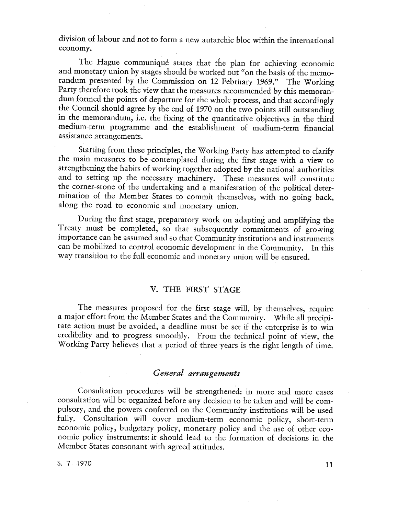division of labour and not to form a new autarchic bloc within the international economy.

The Hague communiqué states that the plan for achieving economic and monetary union by stages should be worked out "on the basis of the memorandum presented by the Commission on 12 February 1969." The Working Party therefore took the view that the measures recommended by this memoran-<br>dum formed the points of departure for the whole process, and that according the Council should agree by the end of 1970 on the two points still outstanding in the memorandum, i.e. the fixing of the quantitative objectives in the third medium-term programme and the establishment of medium-term financial assistance arrangements.

Starting from these principles, the Working Party has attempted to clarify the main measures to be contemplated during the first stage with a view to strengthening the habits of working together adopted by the national authorities and to setting up the necessary machinery. These measures will constitute the corner-stone of the undertaking and a manifestation of the political determination of the Member States to commit themselves, with no going back, along the road to economic and monetary union.

During the first stage, preparatory work on adapting and amplifying the Treaty must be completed, so that subsequently commitments of growing importance can be assumed and so that Community institutions and instruments can be mobilized to control economic development in the Community. In this way transition to the full economic and monetary union will be ensured.

#### V. THE FIRST STAGE

The measures proposed for the first stage will, by themselves, require a major effort from the Member States and the Community. While all precipitate action must be avoided, a deadline must be set if the enterprise is to win<br>credibility and to progress smoothly. From the technical point of view, the<br>Working Party believes that a period of three years is the right l

#### General arrangements

Consultation procedures will be strengthened: in more and more cases consultation will be organized before any decision to be taken and will be compulsory, and the powers conferred on the Community institutions will be used fully. Consultation will cover medium-term economic policy, short-term economic policy, budgetary policy, monetary policy and the use of other economic policy instruments: it should lead to the formation of decisions in the Member States consonant with agreed attitudes.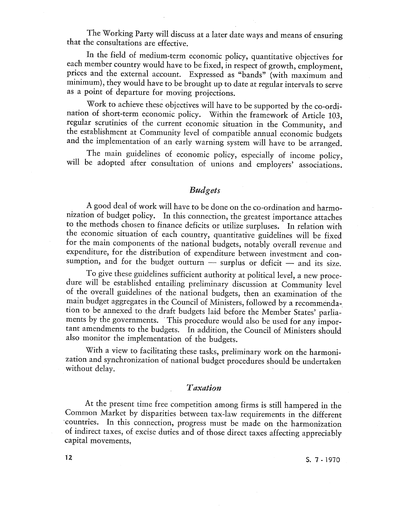The Working Party will discuss at a later date ways and means of ensuring that the consultations are effective.

In the field of medium-term economic policy, quantitative objectives for each member country would have to be fixed , in respect of growth, employment prices and the external account. Expressed as "bands" (with maximum and minimum), they would have to be brought up to date at regular intervals to serve as a point of departure for moving projections.

Work to achieve these objectives will have to be supported by the co-ordination of short-term economic policy. Within the framework of Article 103 regular scrutinies of the current economic situation in the Community, and the establishment at Community level of compatible annual economic budgets and the implementation of an early warning system will have to be arranged.

The main guidelines of economic policy, especially of income policy, will be adopted after consultation of unions and employers' associations.

#### Budgets

A good deal of work will have to be done on the co-ordination and harmonization of budget policy. In this connection, the greatest importance attaches<br>to the methods chosen to finance deficits or utilize surpluses. In relation with<br>the economic situation of each country, quantitative guidelin for the main components of the national budgets, notably overall revenue and expenditure, for the distribution of expenditure between investment and consumption, and for the budget outturn  $-$  surplus or deficit  $-$  and its size.

To give these guidelines sufficient authority at political level, a new proce- dure will be established entailing preliminary discussion at Community level of the overall guidelines of the national budgets, then an examination of the tion to be annexed to the draft budgets laid before the Member States' parliaments by the governments. This procedure would also be used for any important amendments to the budgets. In addition, the Council of Ministers should also monitor the implementation of the budgets.

With a view to facilitating these tasks, preliminary work on the harmonization and synchronization of national budget procedures should be undertaken without delay.

#### Taxation

At the present time free competition among firms is still hampered in the Common Market by disparities between tax-law requirements in the different countries. In this connection, progress must be made on the harmonization of indirect taxes of excise duties and of those direct taxes affecting appreciably capital movements

S. 7 - 1970